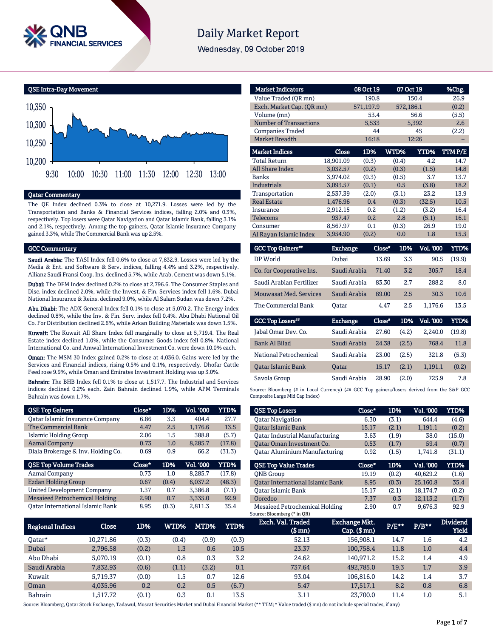

# **Daily Market Report**

Wednesday, 09 October 2019



## Qatar Commentary

The QE Index declined 0.3% to close at 10,271.9. Losses were led by the Transportation and Banks & Financial Services indices, falling 2.0% and 0.3%, respectively. Top losers were Qatar Navigation and Qatar Islamic Bank, falling 3.1% and 2.1%, respectively. Among the top gainers, Qatar Islamic Insurance Company gained 3.3%, while The Commercial Bank was up 2.5%.

### GCC Commentary

Saudi Arabia: The TASI Index fell 0.6% to close at 7,832.9. Losses were led by the Media & Ent. and Software & Serv. indices, falling 4.4% and 3.2%, respectively. Allianz Saudi Fransi Coop. Ins. declined 5.7%, while Arab. Cement was down 5.1%.

Dubai: The DFM Index declined 0.2% to close at 2,796.6. The Consumer Staples and Disc. index declined 2.0%, while the Invest. & Fin. Services index fell 1.6%. Dubai National Insurance & Reins. declined 9.0%, while Al Salam Sudan was down 7.2%.

Abu Dhabi: The ADX General Index fell 0.1% to close at 5,070.2. The Energy index declined 0.8%, while the Inv. & Fin. Serv. index fell 0.4%. Abu Dhabi National Oil Co. For Distribution declined 2.6%, while Arkan Building Materials was down 1.5%.

Kuwait: The Kuwait All Share Index fell marginally to close at 5,719.4. The Real Estate index declined 1.0%, while the Consumer Goods index fell 0.8%. National International Co. and Amwal International Investment Co. were down 10.0% each.

Oman: The MSM 30 Index gained 0.2% to close at 4,036.0. Gains were led by the Services and Financial indices, rising 0.5% and 0.1%, respectively. Dhofar Cattle Feed rose 9.9%, while Oman and Emirates Investment Holding was up 3.0%.

Bahrain: The BHB Index fell 0.1% to close at 1,517.7. The Industrial and Services indices declined 0.2% each. Zain Bahrain declined 1.9%, while APM Terminals Bahrain was down 1.7%.

| <b>QSE Top Gainers</b>                 | Close* | 1D%   | Vol. '000        | <b>YTD%</b> |
|----------------------------------------|--------|-------|------------------|-------------|
| <b>Qatar Islamic Insurance Company</b> | 6.86   | 3.3   | 404.4            | 27.7        |
| <b>The Commercial Bank</b>             | 4.47   | 2.5   | 1,176.6          | 13.5        |
| <b>Islamic Holding Group</b>           | 2.06   | 1.5   | 388.8            | (5.7)       |
| <b>Aamal Company</b>                   | 0.73   | 1.0   | 8,285.7          | (17.8)      |
| Dlala Brokerage & Inv. Holding Co.     | 0.69   | 0.9   | 66.2             | (31.3)      |
|                                        |        |       |                  |             |
| <b>QSE Top Volume Trades</b>           | Close* | 1D%   | <b>Vol. '000</b> | YTD%        |
| Aamal Company                          | 0.73   | 1.0   | 8.285.7          | (17.8)      |
| <b>Ezdan Holding Group</b>             | 0.67   | (0.4) | 6.037.2          | (48.3)      |
| <b>United Development Company</b>      | 1.37   | 0.7   | 3,386.8          | (7.1)       |
| <b>Mesaieed Petrochemical Holding</b>  | 2.90   | 0.7   | 3,335.0          | 92.9        |

| <b>Market Indicators</b>      |                 | 08 Oct 19 | 07 Oct 19     |                  | %Chg.       |  |
|-------------------------------|-----------------|-----------|---------------|------------------|-------------|--|
| Value Traded (QR mn)          |                 | 190.8     |               | 150.4            |             |  |
| Exch. Market Cap. (QR mn)     |                 | 571,197.9 | 572,186.1     |                  | (0.2)       |  |
| Volume (mn)                   |                 | 53.4      |               | 56.6             | (5.5)       |  |
| <b>Number of Transactions</b> |                 | 5,533     |               | 5,392            | 2.6         |  |
| <b>Companies Traded</b>       |                 | 44        |               | 45               | (2.2)       |  |
| <b>Market Breadth</b>         |                 | 16:18     |               | 12:26            |             |  |
| <b>Market Indices</b>         | Close           | 1D%       | WTD%          | YTD%             | TTMP/E      |  |
| <b>Total Return</b>           | 18,901.09       | (0.3)     | (0.4)         | 4.2              | 14.7        |  |
| <b>All Share Index</b>        | 3,032.57        | (0.2)     | (0.3)         | (1.5)            | 14.8        |  |
| <b>Banks</b>                  | 3,974.02        | (0.3)     | (0.5)         | 3.7              | 13.7        |  |
| Industrials                   | 3,093.57        | (0.1)     | 0.5           | (3.8)            | 18.2        |  |
| Transportation                | 2,537.39        | (2.0)     | (3.1)         | 23.2             | 13.9        |  |
| <b>Real Estate</b>            | 1,476.96        | 0.4       | (0.3)         | (32.5)           | 10.5        |  |
| Insurance                     | 2,912.15        | 0.2       | (1.2)         | (3.2)            | 16.4        |  |
| Telecoms                      | 937.47          | 0.2       | 2.8           | (5.1)            | 16.1        |  |
| Consumer                      | 8,567.97        | 0.1       | (0.3)         | 26.9             | 19.0        |  |
| Al Rayan Islamic Index        | 3,954.90        | (0.2)     | 0.0           | 1.8              | 15.5        |  |
| <b>GCC Top Gainers**</b>      | <b>Exchange</b> |           | Close"<br>1D% | <b>Vol. '000</b> | <b>YTD%</b> |  |
| DP World                      | Duhai           |           | 13.69<br>33   | 905              | (199)       |  |

| DP World                      | Dubai        | 13.69 | 3.3 | 90.5    | (19.9) |
|-------------------------------|--------------|-------|-----|---------|--------|
| Co. for Cooperative Ins.      | Saudi Arabia | 71.40 | 3.2 | 305.7   | 18.4   |
| Saudi Arabian Fertilizer      | Saudi Arabia | 83.30 | 27  | 288.2   | 8.0    |
| <b>Mouwasat Med. Services</b> | Saudi Arabia | 89.00 | 2.5 | 30.3    | 10.6   |
| The Commercial Bank           | Oatar        | 4.47  | 2.5 | 1.176.6 | 13.5   |

| <b>GCC Top Losers</b> "   | <b>Exchange</b> | Close* | 1D%   | Vol. '000 | YTD%   |
|---------------------------|-----------------|--------|-------|-----------|--------|
| Jabal Omar Dev. Co.       | Saudi Arabia    | 27.60  | (4.2) | 2.240.0   | (19.8) |
| Bank Al Bilad             | Saudi Arabia    | 24.38  | (2.5) | 768.4     | 11.8   |
| National Petrochemical    | Saudi Arabia    | 23.00  | (2.5) | 321.8     | (5.3)  |
| <b>Oatar Islamic Bank</b> | <b>Oatar</b>    | 15.17  | (2.1) | 1,191.1   | (0.2)  |
| Savola Group              | Saudi Arabia    | 28.90  | (2.0) | 725.9     | 7.8    |

Source: Bloomberg (# in Local Currency) (## GCC Top gainers/losers derived from the S&P GCC Composite Large Mid Cap Index)

| <b>QSE Top Losers</b>                   | Close* | 1D%   | <b>Vol. '000</b> | YTD%   |
|-----------------------------------------|--------|-------|------------------|--------|
| <b>Oatar Navigation</b>                 | 6.30   | (3.1) | 644.4            | (4.6)  |
| <b>Oatar Islamic Bank</b>               | 15.17  | (2.1) | 1,191.1          | (0.2)  |
| Oatar Industrial Manufacturing          | 3.63   | (1.9) | 38.0             | (15.0) |
| Oatar Oman Investment Co.               | 0.53   | (1.7) | 59.4             | (0.7)  |
| <b>Qatar Aluminium Manufacturing</b>    | 0.92   | (1.5) | 1.741.8          | (31.1) |
|                                         |        |       |                  |        |
| <b>QSE Top Value Trades</b>             | Close* | 1D%   | Val. '000        | YTD%   |
| <b>QNB</b> Group                        | 19.19  | (0.2) | 40.629.2         | (1.6)  |
| <b>Oatar International Islamic Bank</b> | 8.95   | (0.3) | 25,160.8         | 35.4   |
| <b>Oatar Islamic Bank</b>               | 15.17  | (2.1) | 18.174.7         | (0.2)  |
| Ooredoo                                 | 7.37   | 0.3   | 12,113.2         | (1.7)  |

| <b>Regional Indices</b> | Close     | 1D%   | WTD%'   | MTD%  | YTD%  | Exch. Val. Traded<br>$$$ mn $)$ | Exchange Mkt.<br>$Cap.$ ( $$rm)$ ) | P/E** | $P/B**$ | <b>Dividend</b><br>Yield |
|-------------------------|-----------|-------|---------|-------|-------|---------------------------------|------------------------------------|-------|---------|--------------------------|
| Oatar*                  | 10.271.86 | (0.3) | (0.4)   | (0.9) | (0.3) | 52.13                           | 156.908.1                          | 14.7  | 1.6     | 4.2                      |
| Dubai                   | 2.796.58  | (0.2) | $1.3\,$ | 0.6   | 10.5  | 23.37                           | 100.758.4                          | 11.8  | 1.0     | 4.4                      |
| Abu Dhabi               | 5.070.19  | (0.1) | 0.8     | 0.3   | 3.2   | 24.62                           | 140.971.2                          | 15.2  | 1.4     | 4.9                      |
| Saudi Arabia            | 7,832.93  | (0.6) | (1.1)   | (3.2) | 0.1   | 737.64                          | 492.785.0                          | 19.3  | 1.7     | 3.9                      |
| Kuwait                  | 5.719.37  | (0.0) | 1.5     | 0.7   | 12.6  | 93.04                           | 106.816.0                          | 14.2  | 1.4     | 3.7                      |
| Oman                    | 4,035.96  | 0.2   | 0.2     | 0.5   | (6.7) | 5.47                            | 17,517.1                           | 8.2   | 0.8     | 6.8                      |
| <b>Bahrain</b>          | 1.517.72  | (0.1) | 0.3     | 0.1   | 13.5  | 3.11                            | 23.700.0                           | 11.4  | $1.0\,$ | 5.1                      |

Source: Bloomberg, Qatar Stock Exchange, Tadawul, Muscat Securities Market and Dubai Financial Market (\*\* TTM; \* Value traded (\$ mn) do not include special trades, if any)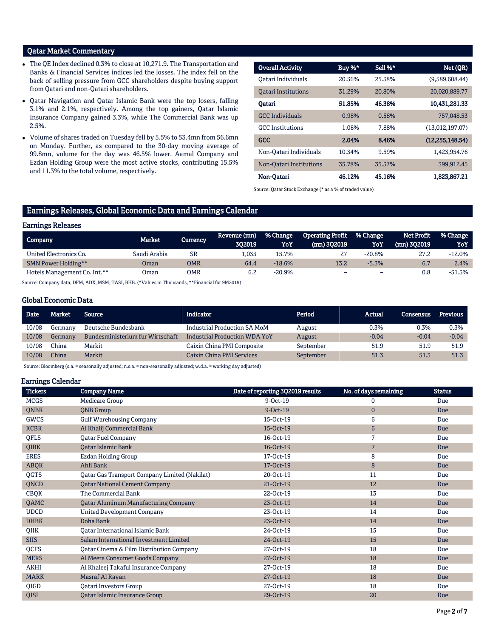# Qatar Market Commentary

- The QE Index declined 0.3% to close at 10,271.9. The Transportation and Banks & Financial Services indices led the losses. The index fell on the back of selling pressure from GCC shareholders despite buying support from Qatari and non-Qatari shareholders.
- Qatar Navigation and Qatar Islamic Bank were the top losers, falling 3.1% and 2.1%, respectively. Among the top gainers, Qatar Islamic Insurance Company gained 3.3%, while The Commercial Bank was up 2.5%.
- Volume of shares traded on Tuesday fell by 5.5% to 53.4mn from 56.6mn on Monday. Further, as compared to the 30-day moving average of 99.8mn, volume for the day was 46.5% lower. Aamal Company and Ezdan Holding Group were the most active stocks, contributing 15.5% and 11.3% to the total volume, respectively.

| <b>Overall Activity</b>    | Buy %* | Sell %* | Net (QR)          |
|----------------------------|--------|---------|-------------------|
| Oatari Individuals         | 20.56% | 25.58%  | (9,589,608.44)    |
| <b>Oatari Institutions</b> | 31.29% | 20.80%  | 20,020,889.77     |
| Oatari                     | 51.85% | 46.38%  | 10,431,281.33     |
| <b>GCC</b> Individuals     | 0.98%  | 0.58%   | 757.048.53        |
| <b>GCC</b> Institutions    | 1.06%  | 7.88%   | (13,012,197.07)   |
| <b>GCC</b>                 | 2.04%  | 8.46%   | (12, 255, 148.54) |
| Non-Oatari Individuals     | 10.34% | 9.59%   | 1.423.954.76      |
| Non-Oatari Institutions    | 35.78% | 35.57%  | 399,912.45        |
| Non-Oatari                 | 46.12% | 45.16%  | 1,823,867.21      |

Source: Qatar Stock Exchange (\* as a % of traded value)

# Earnings Releases, Global Economic Data and Earnings Calendar

## Earnings Releases

| Company                      | Market       | Currencv   | Revenue (mn)<br>302019 | % Change<br>YoY | <b>Operating Profit</b><br>(mn) 302019 | % Change<br>YoY          | Net Profit<br>$(mn)$ 302019 | % Change<br>YoY |
|------------------------------|--------------|------------|------------------------|-----------------|----------------------------------------|--------------------------|-----------------------------|-----------------|
| United Electronics Co.       | Saudi Arabia | <b>SR</b>  | L.035                  | 15.7%           |                                        | $-20.8%$                 | 27.2                        | $-12.0%$        |
| SMN Power Holding**          | Oman         | <b>OMR</b> | 64.4                   | $-18.6%$        | 13.2                                   | $-5.3%$                  | 6.7                         | 2.4%            |
| Hotels Management Co. Int.** | Oman         | OMR        | 6.2                    | $-20.9%$        | $\overline{\phantom{a}}$               | $\overline{\phantom{0}}$ | 0.8                         | $-51.5%$        |

Source: Company data, DFM, ADX, MSM, TASI, BHB. (\*Values in Thousands, \*\*Financial for 9M2019)

## Global Economic Data

| <b>Date</b> | Market       | <b>Source</b>                    | Indicator                            | Period    | Actual  | Consensus | <b>Previous</b> |
|-------------|--------------|----------------------------------|--------------------------------------|-----------|---------|-----------|-----------------|
| 10/08       | Germanv      | Deutsche Bundesbank              | <b>Industrial Production SA MoM</b>  | August    | 0.3%    | 0.3%      | 0.3%            |
| 10/08       | Germany      | Bundesministerium fur Wirtschaft | <b>Industrial Production WDA YoY</b> | August    | $-0.04$ | $-0.04$   | $-0.04$         |
| 10/08       | China        | Markit                           | Caixin China PMI Composite           | September | 51.9    | 51.9      | 51.9            |
| 10/08       | <b>China</b> | Markit                           | Caixin China PMI Services            | September | 51.3    | 51.3      | 51.3            |

Source: Bloomberg (s.a. = seasonally adjusted; n.s.a. = non-seasonally adjusted; w.d.a. = working day adjusted)

## Earnings Calendar

| <b>Tickers</b> | <b>Company Name</b>                                  | Date of reporting 3Q2019 results | No. of days remaining | <b>Status</b> |
|----------------|------------------------------------------------------|----------------------------------|-----------------------|---------------|
| <b>MCGS</b>    | <b>Medicare Group</b>                                | 9-Oct-19                         | 0                     | Due           |
| <b>QNBK</b>    | <b>QNB</b> Group                                     | $9-Oct-19$                       | $\mathbf{0}$          | Due           |
| <b>GWCS</b>    | <b>Gulf Warehousing Company</b>                      | 15-Oct-19                        | 6                     | Due           |
| <b>KCBK</b>    | Al Khalij Commercial Bank                            | 15-Oct-19                        | $6\phantom{1}$        | Due           |
| QFLS           | <b>Qatar Fuel Company</b>                            | 16-Oct-19                        | 7                     | Due           |
| <b>QIBK</b>    | <b>Oatar Islamic Bank</b>                            | 16-Oct-19                        | $\overline{7}$        | Due           |
| <b>ERES</b>    | <b>Ezdan Holding Group</b>                           | 17-Oct-19                        | 8                     | Due           |
| <b>ABQK</b>    | Ahli Bank                                            | 17-Oct-19                        | 8                     | Due           |
| QGTS           | <b>Qatar Gas Transport Company Limited (Nakilat)</b> | 20-Oct-19                        | 11                    | Due           |
| QNCD           | <b>Qatar National Cement Company</b>                 | 21-Oct-19                        | 12                    | Due           |
| <b>CBQK</b>    | The Commercial Bank                                  | 22-Oct-19                        | 13                    | Due           |
| QAMC           | <b>Qatar Aluminum Manufacturing Company</b>          | 23-Oct-19                        | 14                    | Due           |
| <b>UDCD</b>    | <b>United Development Company</b>                    | 23-Oct-19                        | 14                    | Due           |
| <b>DHBK</b>    | Doha Bank                                            | 23-Oct-19                        | 14                    | Due           |
| QIIK           | <b>Oatar International Islamic Bank</b>              | 24-Oct-19                        | 15                    | Due           |
| <b>SIIS</b>    | Salam International Investment Limited               | 24-Oct-19                        | 15                    | Due           |
| <b>OCFS</b>    | Qatar Cinema & Film Distribution Company             | 27-Oct-19                        | 18                    | Due           |
| <b>MERS</b>    | Al Meera Consumer Goods Company                      | 27-Oct-19                        | 18                    | Due           |
| AKHI           | Al Khaleej Takaful Insurance Company                 | 27-Oct-19                        | 18                    | Due           |
| <b>MARK</b>    | Masraf Al Rayan                                      | 27-Oct-19                        | 18                    | Due           |
| QIGD           | Qatari Investors Group                               | 27-Oct-19                        | 18                    | Due           |
| QISI           | Qatar Islamic Insurance Group                        | 29-Oct-19                        | 20                    | Due           |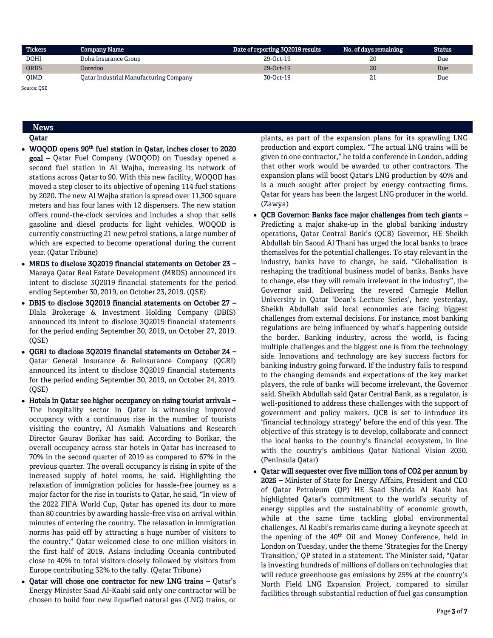| <b>Tickers</b> | <b>Company Name</b>                           | Date of reporting 3Q2019 results | No. of days remaining | Status |
|----------------|-----------------------------------------------|----------------------------------|-----------------------|--------|
| <b>DOHI</b>    | Doha Insurance Group                          | 29-Oct-19                        | 20                    | Due    |
| <b>ORDS</b>    | Ooredoo                                       | 29-Oct-19                        | 20                    | Due    |
| <b>OIMD</b>    | <b>Qatar Industrial Manufacturing Company</b> | 30-Oct-19                        | 41                    | Due    |

Source: QSE

# News

# Qatar

- WOQOD opens 90<sup>th</sup> fuel station in Qatar, inches closer to 2020 goal – Qatar Fuel Company (WOQOD) on Tuesday opened a second fuel station in Al Wajba, increasing its network of stations across Qatar to 90. With this new facility, WOQOD has moved a step closer to its objective of opening 114 fuel stations by 2020. The new Al Wajba station is spread over 11,300 square meters and has four lanes with 12 dispensers. The new station offers round-the-clock services and includes a shop that sells gasoline and diesel products for light vehicles. WOQOD is currently constructing 21 new petrol stations, a large number of which are expected to become operational during the current year. (Qatar Tribune)
- MRDS to disclose 3Q2019 financial statements on October 23 Mazaya Qatar Real Estate Development (MRDS) announced its intent to disclose 3Q2019 financial statements for the period ending September 30, 2019, on October 23, 2019. (QSE)
- DBIS to disclose 3Q2019 financial statements on October 27 Dlala Brokerage & Investment Holding Company (DBIS) announced its intent to disclose 3Q2019 financial statements for the period ending September 30, 2019, on October 27, 2019. (QSE)
- QGRI to disclose 3Q2019 financial statements on October 24 Qatar General Insurance & Reinsurance Company (QGRI) announced its intent to disclose 3Q2019 financial statements for the period ending September 30, 2019, on October 24, 2019. (QSE)
- Hotels in Qatar see higher occupancy on rising tourist arrivals The hospitality sector in Qatar is witnessing improved occupancy with a continuous rise in the number of tourists visiting the country, Al Asmakh Valuations and Research Director Gaurav Borikar has said. According to Borikar, the overall occupancy across star hotels in Qatar has increased to 70% in the second quarter of 2019 as compared to 67% in the previous quarter. The overall occupancy is rising in spite of the increased supply of hotel rooms, he said. Highlighting the relaxation of immigration policies for hassle-free journey as a major factor for the rise in tourists to Qatar, he said, "In view of the 2022 FIFA World Cup, Qatar has opened its door to more than 80 countries by awarding hassle-free visa on arrival within minutes of entering the country. The relaxation in immigration norms has paid off by attracting a huge number of visitors to the country." Qatar welcomed close to one million visitors in the first half of 2019. Asians including Oceania contributed close to 40% to total visitors closely followed by visitors from Europe contributing 32% to the tally. (Qatar Tribune)
- Qatar will chose one contractor for new LNG trains Qatar's Energy Minister Saad Al-Kaabi said only one contractor will be chosen to build four new liquefied natural gas (LNG) trains, or

plants, as part of the expansion plans for its sprawling LNG production and export complex. "The actual LNG trains will be given to one contractor," he told a conference in London, adding that other work would be awarded to other contractors. The expansion plans will boost Qatar's LNG production by 40% and is a much sought after project by energy contracting firms. Qatar for years has been the largest LNG producer in the world. (Zawya)

- $\bullet$  OCB Governor: Banks face major challenges from tech giants Predicting a major shake-up in the global banking industry operations, Qatar Central Bank's (QCB) Governor, HE Sheikh Abdullah bin Saoud Al Thani has urged the local banks to brace themselves for the potential challenges. To stay relevant in the industry, banks have to change, he said. "Globalization is reshaping the traditional business model of banks. Banks have to change, else they will remain irrelevant in the industry", the Governor said. Delivering the revered Carnegie Mellon University in Qatar 'Dean's Lecture Series', here yesterday, Sheikh Abdullah said local economies are facing biggest challenges from external decisions. For instance, most banking regulations are being influenced by what's happening outside the border. Banking industry, across the world, is facing multiple challenges and the biggest one is from the technology side. Innovations and technology are key success factors for banking industry going forward. If the industry fails to respond to the changing demands and expectations of the key market players, the role of banks will become irrelevant, the Governor said. Sheikh Abdullah said Qatar Central Bank, as a regulator, is well-positioned to address these challenges with the support of government and policy makers. QCB is set to introduce its 'financial technology strategy' before the end of this year. The objective of this strategy is to develop, collaborate and connect the local banks to the country's financial ecosystem, in line with the country's ambitious Qatar National Vision 2030. (Peninsula Qatar)
- Qatar will sequester over five million tons of CO2 per annum by 2025 – Minister of State for Energy Affairs, President and CEO of Qatar Petroleum (QP) HE Saad Sherida Al Kaabi has highlighted Qatar's commitment to the world's security of energy supplies and the sustainability of economic growth, while at the same time tackling global environmental challenges. Al Kaabi's remarks came during a keynote speech at the opening of the 40th Oil and Money Conference, held in London on Tuesday, under the theme 'Strategies for the Energy Transition,' QP stated in a statement. The Minister said, "Qatar is investing hundreds of millions of dollars on technologies that will reduce greenhouse gas emissions by 25% at the country's North Field LNG Expansion Project, compared to similar facilities through substantial reduction of fuel gas consumption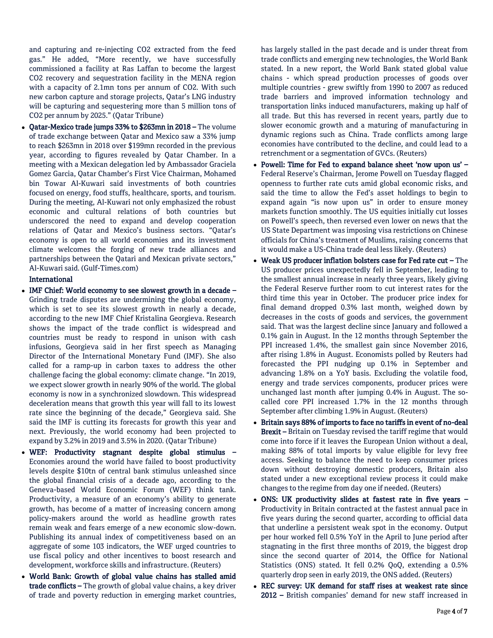and capturing and re-injecting CO2 extracted from the feed gas." He added, "More recently, we have successfully commissioned a facility at Ras Laffan to become the largest CO2 recovery and sequestration facility in the MENA region with a capacity of 2.1mn tons per annum of CO2. With such new carbon capture and storage projects, Qatar's LNG industry will be capturing and sequestering more than 5 million tons of CO2 per annum by 2025." (Qatar Tribune)

 Qatar-Mexico trade jumps 33% to \$263mn in 2018 – The volume of trade exchange between Qatar and Mexico saw a 33% jump to reach \$263mn in 2018 over \$199mn recorded in the previous year, according to figures revealed by Qatar Chamber. In a meeting with a Mexican delegation led by Ambassador Graciela Gomez Garcia, Qatar Chamber's First Vice Chairman, Mohamed bin Towar Al-Kuwari said investments of both countries focused on energy, food stuffs, healthcare, sports, and tourism. During the meeting, Al-Kuwari not only emphasized the robust economic and cultural relations of both countries but underscored the need to expand and develop cooperation relations of Qatar and Mexico's business sectors. "Qatar's economy is open to all world economies and its investment climate welcomes the forging of new trade alliances and partnerships between the Qatari and Mexican private sectors," Al-Kuwari said. (Gulf-Times.com)

## International

- IMF Chief: World economy to see slowest growth in a decade Grinding trade disputes are undermining the global economy, which is set to see its slowest growth in nearly a decade, according to the new IMF Chief Kristalina Georgieva. Research shows the impact of the trade conflict is widespread and countries must be ready to respond in unison with cash infusions, Georgieva said in her first speech as Managing Director of the International Monetary Fund (IMF). She also called for a ramp-up in carbon taxes to address the other challenge facing the global economy: climate change. "In 2019, we expect slower growth in nearly 90% of the world. The global economy is now in a synchronized slowdown. This widespread deceleration means that growth this year will fall to its lowest rate since the beginning of the decade," Georgieva said. She said the IMF is cutting its forecasts for growth this year and next. Previously, the world economy had been projected to expand by 3.2% in 2019 and 3.5% in 2020. (Qatar Tribune)
- WEF: Productivity stagnant despite global stimulus Economies around the world have failed to boost productivity levels despite \$10tn of central bank stimulus unleashed since the global financial crisis of a decade ago, according to the Geneva-based World Economic Forum (WEF) think tank. Productivity, a measure of an economy's ability to generate growth, has become of a matter of increasing concern among policy-makers around the world as headline growth rates remain weak and fears emerge of a new economic slow-down. Publishing its annual index of competitiveness based on an aggregate of some 103 indicators, the WEF urged countries to use fiscal policy and other incentives to boost research and development, workforce skills and infrastructure. (Reuters)
- World Bank: Growth of global value chains has stalled amid trade conflicts – The growth of global value chains, a key driver of trade and poverty reduction in emerging market countries,

has largely stalled in the past decade and is under threat from trade conflicts and emerging new technologies, the World Bank stated. In a new report, the World Bank stated global value chains - which spread production processes of goods over multiple countries - grew swiftly from 1990 to 2007 as reduced trade barriers and improved information technology and transportation links induced manufacturers, making up half of all trade. But this has reversed in recent years, partly due to slower economic growth and a maturing of manufacturing in dynamic regions such as China. Trade conflicts among large economies have contributed to the decline, and could lead to a retrenchment or a segmentation of GVCs. (Reuters)

- Powell: Time for Fed to expand balance sheet 'now upon us' Federal Reserve's Chairman, Jerome Powell on Tuesday flagged openness to further rate cuts amid global economic risks, and said the time to allow the Fed's asset holdings to begin to expand again "is now upon us" in order to ensure money markets function smoothly. The US equities initially cut losses on Powell's speech, then reversed even lower on news that the US State Department was imposing visa restrictions on Chinese officials for China's treatment of Muslims, raising concerns that it would make a US-China trade deal less likely. (Reuters)
- Weak US producer inflation bolsters case for Fed rate cut The US producer prices unexpectedly fell in September, leading to the smallest annual increase in nearly three years, likely giving the Federal Reserve further room to cut interest rates for the third time this year in October. The producer price index for final demand dropped 0.3% last month, weighed down by decreases in the costs of goods and services, the government said. That was the largest decline since January and followed a 0.1% gain in August. In the 12 months through September the PPI increased 1.4%, the smallest gain since November 2016, after rising 1.8% in August. Economists polled by Reuters had forecasted the PPI nudging up 0.1% in September and advancing 1.8% on a YoY basis. Excluding the volatile food, energy and trade services components, producer prices were unchanged last month after jumping 0.4% in August. The socalled core PPI increased 1.7% in the 12 months through September after climbing 1.9% in August. (Reuters)
- Britain says 88% of imports to face no tariffs in event of no-deal Brexit – Britain on Tuesday revised the tariff regime that would come into force if it leaves the European Union without a deal, making 88% of total imports by value eligible for levy free access. Seeking to balance the need to keep consumer prices down without destroying domestic producers, Britain also stated under a new exceptional review process it could make changes to the regime from day one if needed. (Reuters)
- ONS: UK productivity slides at fastest rate in five years Productivity in Britain contracted at the fastest annual pace in five years during the second quarter, according to official data that underline a persistent weak spot in the economy. Output per hour worked fell 0.5% YoY in the April to June period after stagnating in the first three months of 2019, the biggest drop since the second quarter of 2014, the Office for National Statistics (ONS) stated. It fell 0.2% QoQ, extending a 0.5% quarterly drop seen in early 2019, the ONS added. (Reuters)
- REC survey: UK demand for staff rises at weakest rate since 2012 – British companies' demand for new staff increased in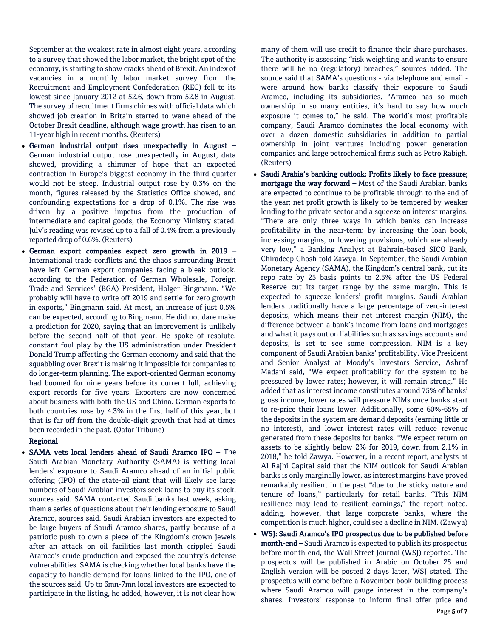September at the weakest rate in almost eight years, according to a survey that showed the labor market, the bright spot of the economy, is starting to show cracks ahead of Brexit. An index of vacancies in a monthly labor market survey from the Recruitment and Employment Confederation (REC) fell to its lowest since January 2012 at 52.6, down from 52.8 in August. The survey of recruitment firms chimes with official data which showed job creation in Britain started to wane ahead of the October Brexit deadline, although wage growth has risen to an 11-year high in recent months. (Reuters)

- German industrial output rises unexpectedly in August German industrial output rose unexpectedly in August, data showed, providing a shimmer of hope that an expected contraction in Europe's biggest economy in the third quarter would not be steep. Industrial output rose by 0.3% on the month, figures released by the Statistics Office showed, and confounding expectations for a drop of 0.1%. The rise was driven by a positive impetus from the production of intermediate and capital goods, the Economy Ministry stated. July's reading was revised up to a fall of 0.4% from a previously reported drop of 0.6%. (Reuters)
- German export companies expect zero growth in 2019 International trade conflicts and the chaos surrounding Brexit have left German export companies facing a bleak outlook, according to the Federation of German Wholesale, Foreign Trade and Services' (BGA) President, Holger Bingmann. "We probably will have to write off 2019 and settle for zero growth in exports," Bingmann said. At most, an increase of just 0.5% can be expected, according to Bingmann. He did not dare make a prediction for 2020, saying that an improvement is unlikely before the second half of that year. He spoke of resolute, constant foul play by the US administration under President Donald Trump affecting the German economy and said that the squabbling over Brexit is making it impossible for companies to do longer-term planning. The export-oriented German economy had boomed for nine years before its current lull, achieving export records for five years. Exporters are now concerned about business with both the US and China. German exports to both countries rose by 4.3% in the first half of this year, but that is far off from the double-digit growth that had at times been recorded in the past. (Qatar Tribune)

# Regional

 SAMA vets local lenders ahead of Saudi Aramco IPO – The Saudi Arabian Monetary Authority (SAMA) is vetting local lenders' exposure to Saudi Aramco ahead of an initial public offering (IPO) of the state-oil giant that will likely see large numbers of Saudi Arabian investors seek loans to buy its stock, sources said. SAMA contacted Saudi banks last week, asking them a series of questions about their lending exposure to Saudi Aramco, sources said. Saudi Arabian investors are expected to be large buyers of Saudi Aramco shares, partly because of a patriotic push to own a piece of the Kingdom's crown jewels after an attack on oil facilities last month crippled Saudi Aramco's crude production and exposed the country's defense vulnerabilities. SAMA is checking whether local banks have the capacity to handle demand for loans linked to the IPO, one of the sources said. Up to 6mn-7mn local investors are expected to participate in the listing, he added, however, it is not clear how

many of them will use credit to finance their share purchases. The authority is assessing "risk weighting and wants to ensure there will be no (regulatory) breaches," sources added. The source said that SAMA's questions - via telephone and email were around how banks classify their exposure to Saudi Aramco, including its subsidiaries. "Aramco has so much ownership in so many entities, it's hard to say how much exposure it comes to," he said. The world's most profitable company, Saudi Aramco dominates the local economy with over a dozen domestic subsidiaries in addition to partial ownership in joint ventures including power generation companies and large petrochemical firms such as Petro Rabigh. (Reuters)

- Saudi Arabia's banking outlook: Profits likely to face pressure; mortgage the way forward – Most of the Saudi Arabian banks are expected to continue to be profitable through to the end of the year; net profit growth is likely to be tempered by weaker lending to the private sector and a squeeze on interest margins. "There are only three ways in which banks can increase profitability in the near-term: by increasing the loan book, increasing margins, or lowering provisions, which are already very low," a Banking Analyst at Bahrain-based SICO Bank, Chiradeep Ghosh told Zawya. In September, the Saudi Arabian Monetary Agency (SAMA), the Kingdom's central bank, cut its repo rate by 25 basis points to 2.5% after the US Federal Reserve cut its target range by the same margin. This is expected to squeeze lenders' profit margins. Saudi Arabian lenders traditionally have a large percentage of zero-interest deposits, which means their net interest margin (NIM), the difference between a bank's income from loans and mortgages and what it pays out on liabilities such as savings accounts and deposits, is set to see some compression. NIM is a key component of Saudi Arabian banks' profitability. Vice President and Senior Analyst at Moody's Investors Service, Ashraf Madani said, "We expect profitability for the system to be pressured by lower rates; however, it will remain strong." He added that as interest income constitutes around 75% of banks' gross income, lower rates will pressure NIMs once banks start to re-price their loans lower. Additionally, some 60%-65% of the deposits in the system are demand deposits (earning little or no interest), and lower interest rates will reduce revenue generated from these deposits for banks. "We expect return on assets to be slightly below 2% for 2019, down from 2.1% in 2018," he told Zawya. However, in a recent report, analysts at Al Rajhi Capital said that the NIM outlook for Saudi Arabian banks is only marginally lower, as interest margins have proved remarkably resilient in the past "due to the sticky nature and tenure of loans," particularly for retail banks. "This NIM resilience may lead to resilient earnings," the report noted, adding, however, that large corporate banks, where the competition is much higher, could see a decline in NIM. (Zawya)
- WSJ: Saudi Aramco's IPO prospectus due to be published before month-end – Saudi Aramco is expected to publish its prospectus before month-end, the Wall Street Journal (WSJ) reported. The prospectus will be published in Arabic on October 25 and English version will be posted 2 days later, WSJ stated. The prospectus will come before a November book-building process where Saudi Aramco will gauge interest in the company's shares. Investors' response to inform final offer price and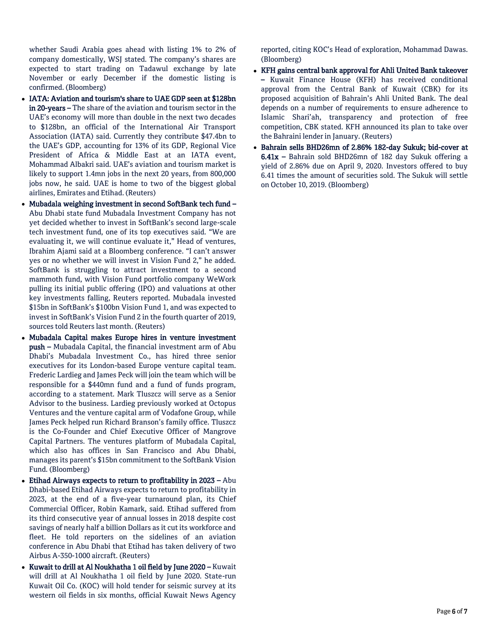whether Saudi Arabia goes ahead with listing 1% to 2% of company domestically, WSJ stated. The company's shares are expected to start trading on Tadawul exchange by late November or early December if the domestic listing is confirmed. (Bloomberg)

- IATA: Aviation and tourism's share to UAE GDP seen at \$128bn in 20-years – The share of the aviation and tourism sector in the UAE's economy will more than double in the next two decades to \$128bn, an official of the International Air Transport Association (IATA) said. Currently they contribute \$47.4bn to the UAE's GDP, accounting for 13% of its GDP, Regional Vice President of Africa & Middle East at an IATA event, Mohammad Albakri said. UAE's aviation and tourism market is likely to support 1.4mn jobs in the next 20 years, from 800,000 jobs now, he said. UAE is home to two of the biggest global airlines, Emirates and Etihad. (Reuters)
- Mubadala weighing investment in second SoftBank tech fund Abu Dhabi state fund Mubadala Investment Company has not yet decided whether to invest in SoftBank's second large-scale tech investment fund, one of its top executives said. "We are evaluating it, we will continue evaluate it," Head of ventures, Ibrahim Ajami said at a Bloomberg conference. "I can't answer yes or no whether we will invest in Vision Fund 2," he added. SoftBank is struggling to attract investment to a second mammoth fund, with Vision Fund portfolio company WeWork pulling its initial public offering (IPO) and valuations at other key investments falling, Reuters reported. Mubadala invested \$15bn in SoftBank's \$100bn Vision Fund 1, and was expected to invest in SoftBank's Vision Fund 2 in the fourth quarter of 2019, sources told Reuters last month. (Reuters)
- Mubadala Capital makes Europe hires in venture investment push – Mubadala Capital, the financial investment arm of Abu Dhabi's Mubadala Investment Co., has hired three senior executives for its London-based Europe venture capital team. Frederic Lardieg and James Peck will join the team which will be responsible for a \$440mn fund and a fund of funds program, according to a statement. Mark Tluszcz will serve as a Senior Advisor to the business. Lardieg previously worked at Octopus Ventures and the venture capital arm of Vodafone Group, while James Peck helped run Richard Branson's family office. Tluszcz is the Co-Founder and Chief Executive Officer of Mangrove Capital Partners. The ventures platform of Mubadala Capital, which also has offices in San Francisco and Abu Dhabi, manages its parent's \$15bn commitment to the SoftBank Vision Fund. (Bloomberg)
- Etihad Airways expects to return to profitability in  $2023 -$ Abu Dhabi-based Etihad Airways expects to return to profitability in 2023, at the end of a five-year turnaround plan, its Chief Commercial Officer, Robin Kamark, said. Etihad suffered from its third consecutive year of annual losses in 2018 despite cost savings of nearly half a billion Dollars as it cut its workforce and fleet. He told reporters on the sidelines of an aviation conference in Abu Dhabi that Etihad has taken delivery of two Airbus A-350-1000 aircraft. (Reuters)
- Kuwait to drill at Al Noukhatha 1 oil field by June 2020 Kuwait will drill at Al Noukhatha 1 oil field by June 2020. State-run Kuwait Oil Co. (KOC) will hold tender for seismic survey at its western oil fields in six months, official Kuwait News Agency

reported, citing KOC's Head of exploration, Mohammad Dawas. (Bloomberg)

- KFH gains central bank approval for Ahli United Bank takeover – Kuwait Finance House (KFH) has received conditional approval from the Central Bank of Kuwait (CBK) for its proposed acquisition of Bahrain's Ahli United Bank. The deal depends on a number of requirements to ensure adherence to Islamic Shari'ah, transparency and protection of free competition, CBK stated. KFH announced its plan to take over the Bahraini lender in January. (Reuters)
- Bahrain sells BHD26mn of 2.86% 182-day Sukuk; bid-cover at 6.41x – Bahrain sold BHD26mn of 182 day Sukuk offering a yield of 2.86% due on April 9, 2020. Investors offered to buy 6.41 times the amount of securities sold. The Sukuk will settle on October 10, 2019. (Bloomberg)